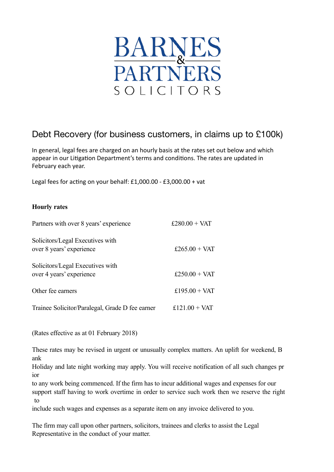

# Debt Recovery (for business customers, in claims up to £100k)

In general, legal fees are charged on an hourly basis at the rates set out below and which appear in our Litigation Department's terms and conditions. The rates are updated in February each year.

Legal fees for acting on your behalf:  $£1,000.00 - £3,000.00 + vat$ 

# **Hourly rates**

| Partners with over 8 years' experience                       | £280.00 + VAT |
|--------------------------------------------------------------|---------------|
| Solicitors/Legal Executives with<br>over 8 years' experience | £265.00 + VAT |
| Solicitors/Legal Executives with<br>over 4 years' experience | £250.00 + VAT |
| Other fee earners                                            | £195.00 + VAT |
| Trainee Solicitor/Paralegal, Grade D fee earner              | £121.00 + VAT |

(Rates effective as at 01 February 2018)

These rates may be revised in urgent or unusually complex matters. An uplift for weekend, B ank

Holiday and late night working may apply. You will receive notification of all such changes pr ior

to any work being commenced. If the firm has to incur additional wages and expenses for our support staff having to work overtime in order to service such work then we reserve the right to

include such wages and expenses as a separate item on any invoice delivered to you.

The firm may call upon other partners, solicitors, trainees and clerks to assist the Legal Representative in the conduct of your matter.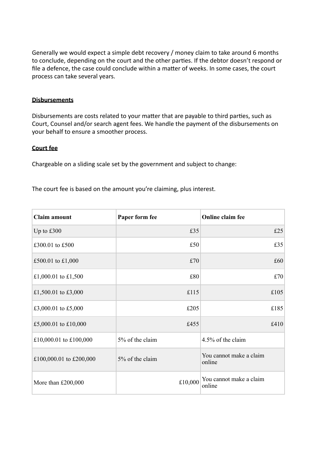Generally we would expect a simple debt recovery / money claim to take around 6 months to conclude, depending on the court and the other parties. If the debtor doesn't respond or file a defence, the case could conclude within a matter of weeks. In some cases, the court process can take several years.

### **Disbursements**

Disbursements are costs related to your matter that are payable to third parties, such as Court, Counsel and/or search agent fees. We handle the payment of the disbursements on your behalf to ensure a smoother process.

### **Court** fee

Chargeable on a sliding scale set by the government and subject to change:

The court fee is based on the amount you're claiming, plus interest.

| Claim amount            | Paper form fee  | Online claim fee                  |
|-------------------------|-----------------|-----------------------------------|
| Up to $£300$            | £35             | £25                               |
| £300.01 to £500         | £50             | £35                               |
| £500.01 to £1,000       | £70             | £60                               |
| £1,000.01 to £1,500     | £80             | £70                               |
| £1,500.01 to £3,000     | £115            | £105                              |
| £3,000.01 to £5,000     | £205            | £185                              |
| £5,000.01 to £10,000    | £455            | £410                              |
| £10,000.01 to £100,000  | 5% of the claim | 4.5% of the claim                 |
| £100,000.01 to £200,000 | 5% of the claim | You cannot make a claim<br>online |
| More than £200,000      | £10,000         | You cannot make a claim<br>online |